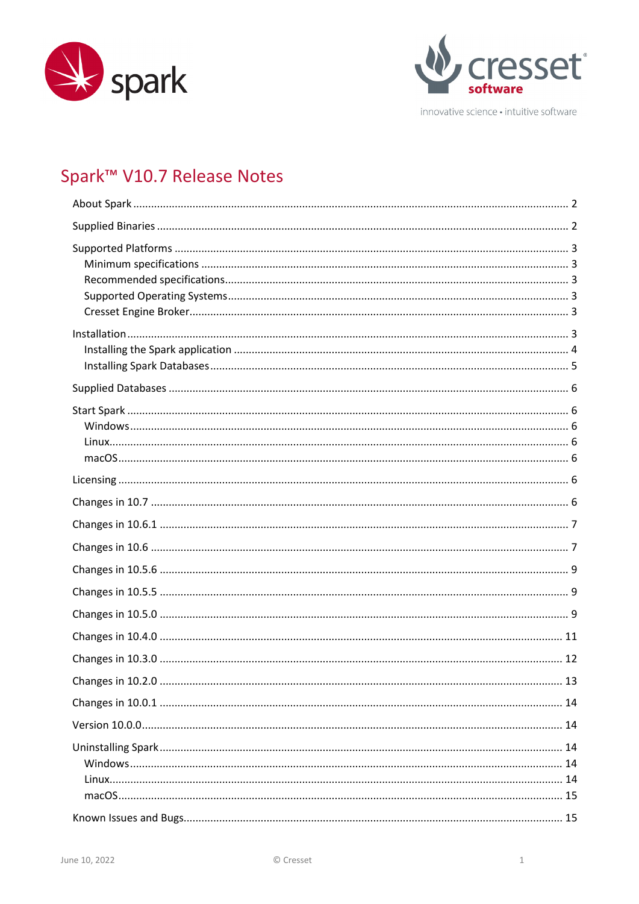



innovative science · intuitive software

# Spark<sup>™</sup> V10.7 Release Notes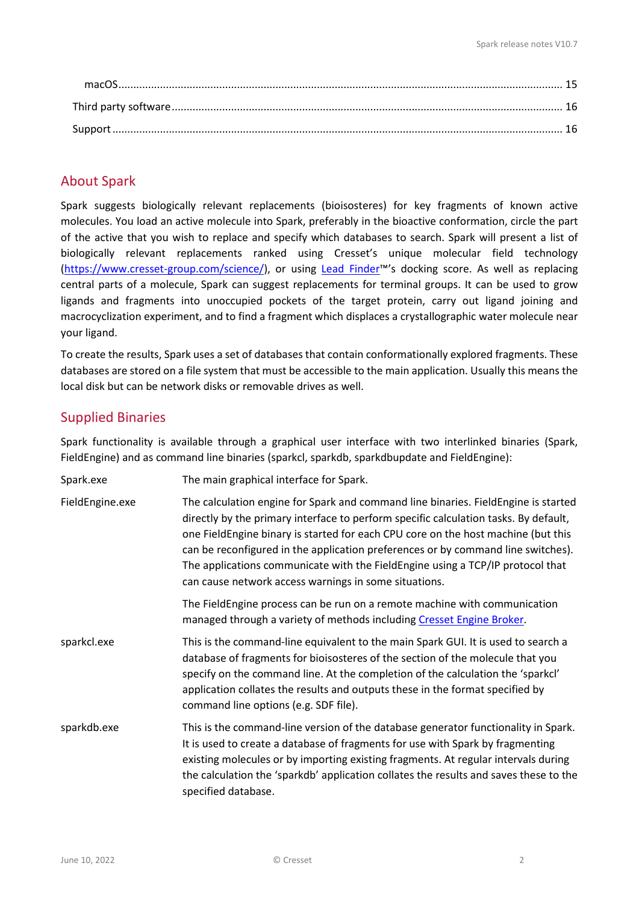# <span id="page-1-0"></span>About Spark

Spark suggests biologically relevant replacements (bioisosteres) for key fragments of known active molecules. You load an active molecule into Spark, preferably in the bioactive conformation, circle the part of the active that you wish to replace and specify which databases to search. Spark will present a list of biologically relevant replacements ranked using Cresset's unique molecular field technology [\(https://www.cresset-group.com/science/\)](https://www.cresset-group.com/science/), or using [Lead Finder™](https://www.cresset-group.com/software/lead-finder/)'s docking score. As well as replacing central parts of a molecule, Spark can suggest replacements for terminal groups. It can be used to grow ligands and fragments into unoccupied pockets of the target protein, carry out ligand joining and macrocyclization experiment, and to find a fragment which displaces a crystallographic water molecule near your ligand.

To create the results, Spark uses a set of databases that contain conformationally explored fragments. These databases are stored on a file system that must be accessible to the main application. Usually this means the local disk but can be network disks or removable drives as well.

# <span id="page-1-1"></span>Supplied Binaries

Spark functionality is available through a graphical user interface with two interlinked binaries (Spark, FieldEngine) and as command line binaries (sparkcl, sparkdb, sparkdbupdate and FieldEngine):

| Spark.exe       | The main graphical interface for Spark.                                                                                                                                                                                                                                                                                                                                                                                                                                                        |  |
|-----------------|------------------------------------------------------------------------------------------------------------------------------------------------------------------------------------------------------------------------------------------------------------------------------------------------------------------------------------------------------------------------------------------------------------------------------------------------------------------------------------------------|--|
| FieldEngine.exe | The calculation engine for Spark and command line binaries. FieldEngine is started<br>directly by the primary interface to perform specific calculation tasks. By default,<br>one FieldEngine binary is started for each CPU core on the host machine (but this<br>can be reconfigured in the application preferences or by command line switches).<br>The applications communicate with the FieldEngine using a TCP/IP protocol that<br>can cause network access warnings in some situations. |  |
|                 | The FieldEngine process can be run on a remote machine with communication<br>managed through a variety of methods including Cresset Engine Broker.                                                                                                                                                                                                                                                                                                                                             |  |
| sparkcl.exe     | This is the command-line equivalent to the main Spark GUI. It is used to search a<br>database of fragments for bioisosteres of the section of the molecule that you<br>specify on the command line. At the completion of the calculation the 'sparkcl'<br>application collates the results and outputs these in the format specified by<br>command line options (e.g. SDF file).                                                                                                               |  |
| sparkdb.exe     | This is the command-line version of the database generator functionality in Spark.<br>It is used to create a database of fragments for use with Spark by fragmenting<br>existing molecules or by importing existing fragments. At regular intervals during<br>the calculation the 'sparkdb' application collates the results and saves these to the<br>specified database.                                                                                                                     |  |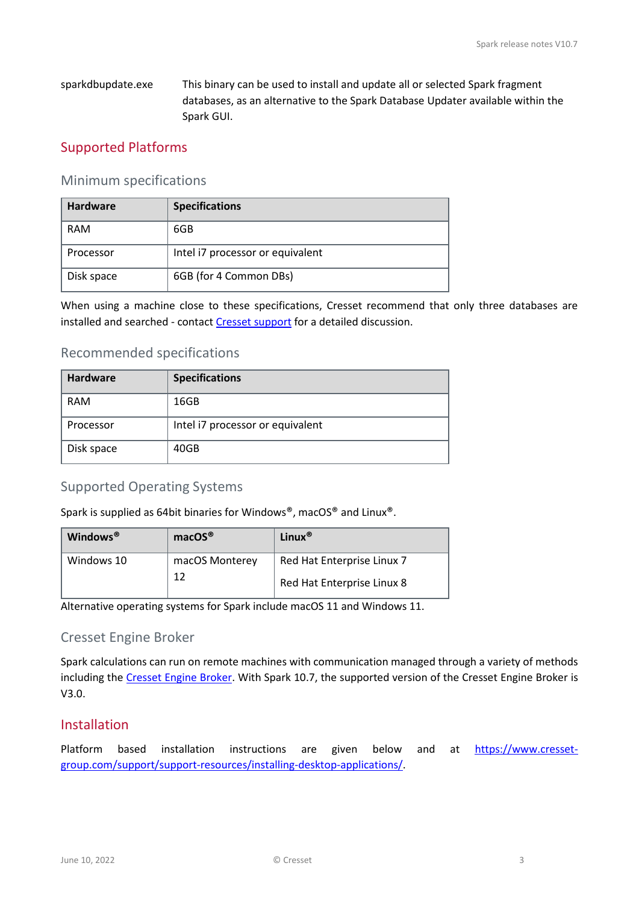sparkdbupdate.exe This binary can be used to install and update all or selected Spark fragment databases, as an alternative to the Spark Database Updater available within the Spark GUI.

# <span id="page-2-0"></span>Supported Platforms

### <span id="page-2-1"></span>Minimum specifications

| <b>Hardware</b> | <b>Specifications</b>            |
|-----------------|----------------------------------|
| RAM             | 6GB                              |
| Processor       | Intel i7 processor or equivalent |
| Disk space      | 6GB (for 4 Common DBs)           |

When using a machine close to these specifications, Cresset recommend that only three databases are installed and searched - contact [Cresset support](mailto:support@cresset-group.com) for a detailed discussion.

# <span id="page-2-2"></span>Recommended specifications

| <b>Hardware</b> | <b>Specifications</b>            |
|-----------------|----------------------------------|
| <b>RAM</b>      | 16GB                             |
| Processor       | Intel i7 processor or equivalent |
| Disk space      | 40GB                             |

# <span id="page-2-3"></span>Supported Operating Systems

Spark is supplied as 64bit binaries for Windows®, macOS® and Linux®.

| Windows <sup>®</sup> | macOS®         | Linux $^{\circledR}$       |
|----------------------|----------------|----------------------------|
| Windows 10           | macOS Monterey | Red Hat Enterprise Linux 7 |
|                      | 12             | Red Hat Enterprise Linux 8 |

Alternative operating systems for Spark include macOS 11 and Windows 11.

### <span id="page-2-4"></span>Cresset Engine Broker

Spark calculations can run on remote machines with communication managed through a variety of methods including the [Cresset Engine Broker.](https://www.cresset-group.com/software/cresset-engine-broker/) With Spark 10.7, the supported version of the Cresset Engine Broker is V3.0.

# <span id="page-2-5"></span>Installation

Platform based installation instructions are given below and at [https://www.cresset](https://www.cresset-group.com/support/support-resources/installing-desktop-applications/)[group.com/support/support-resources/installing-desktop-applications/.](https://www.cresset-group.com/support/support-resources/installing-desktop-applications/)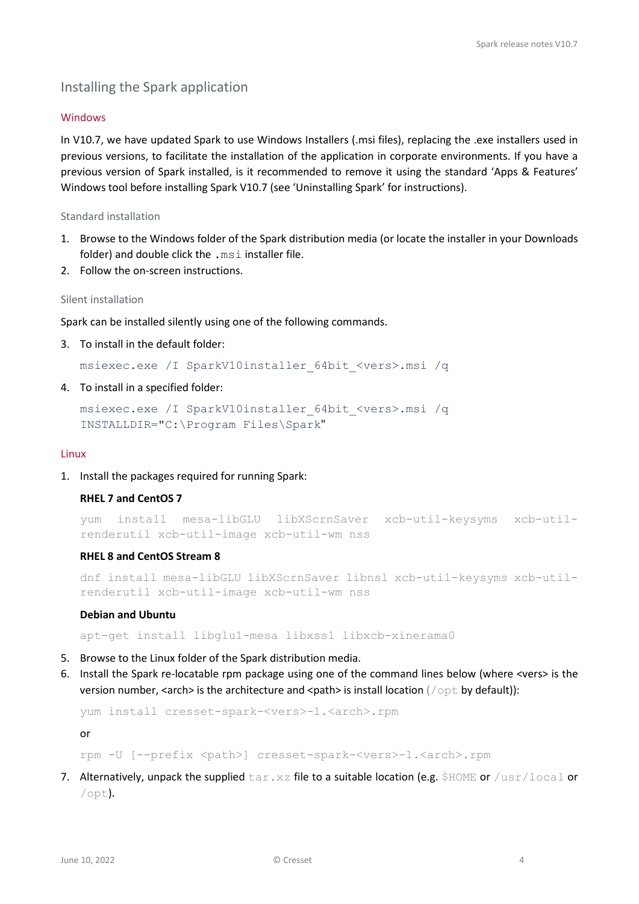# <span id="page-3-0"></span>Installing the Spark application

#### Windows

In V10.7, we have updated Spark to use Windows Installers (.msi files), replacing the .exe installers used in previous versions, to facilitate the installation of the application in corporate environments. If you have a previous version of Spark installed, is it recommended to remove it using the standard 'Apps & Features' Windows tool before installing Spark V10.7 (see 'Uninstalling Spark' for instructions).

#### Standard installation

- 1. Browse to the Windows folder of the Spark distribution media (or locate the installer in your Downloads folder) and double click the .msi installer file.
- 2. Follow the on-screen instructions.

#### Silent installation

Spark can be installed silently using one of the following commands.

3. To install in the default folder:

msiexec.exe /I SparkV10installer\_64bit\_<vers>.msi /q

4. To install in a specified folder:

```
msiexec.exe /I SparkV10installer_64bit_<vers>.msi /q 
INSTALLDIR="C:\Program Files\Spark"
```
#### Linux

1. Install the packages required for running Spark:

#### **RHEL 7 and CentOS 7**

```
yum install mesa-libGLU libXScrnSaver xcb-util-keysyms xcb-util-
renderutil xcb-util-image xcb-util-wm nss
```
#### **RHEL 8 and CentOS Stream 8**

```
dnf install mesa-libGLU libXScrnSaver libnsl xcb-util-keysyms xcb-util-
renderutil xcb-util-image xcb-util-wm nss
```
#### **Debian and Ubuntu**

apt-get install libglu1-mesa libxss1 libxcb-xinerama0

- 5. Browse to the Linux folder of the Spark distribution media.
- 6. Install the Spark re-locatable rpm package using one of the command lines below (where <vers> is the version number, <arch> is the architecture and <path> is install location ( $\text{/opt}$  by default)):

yum install cresset-spark-<vers>-1.<arch>.rpm

or

rpm -U [--prefix <path>] cresset-spark-<vers>-1.<arch>.rpm

7. Alternatively, unpack the supplied  $\tan xz$  file to a suitable location (e.g. \$HOME or /usr/local or /opt).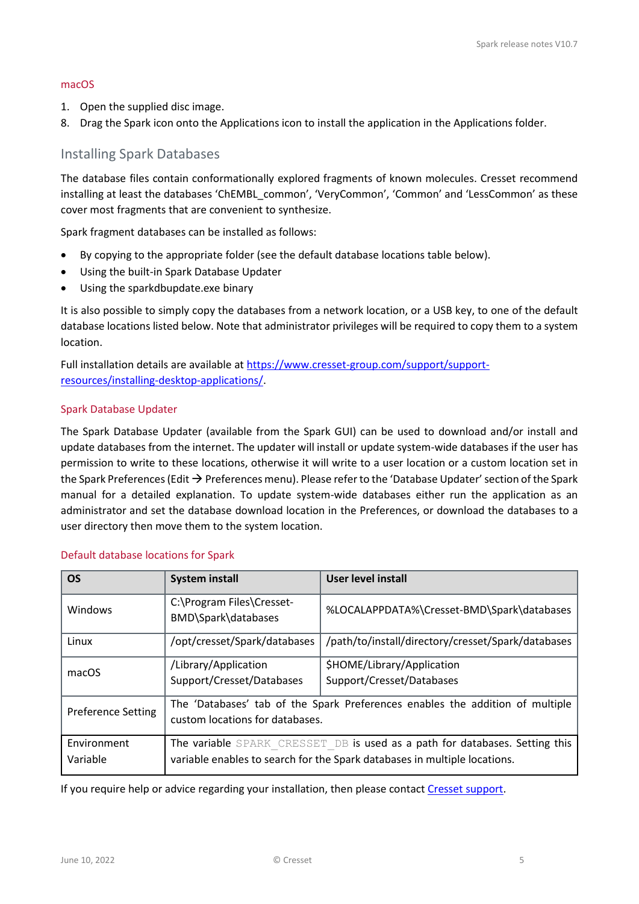#### macOS

- 1. Open the supplied disc image.
- 8. Drag the Spark icon onto the Applications icon to install the application in the Applications folder.

### <span id="page-4-0"></span>Installing Spark Databases

The database files contain conformationally explored fragments of known molecules. Cresset recommend installing at least the databases 'ChEMBL\_common', 'VeryCommon', 'Common' and 'LessCommon' as these cover most fragments that are convenient to synthesize.

Spark fragment databases can be installed as follows:

- By copying to the appropriate folder (see the default database locations table below).
- Using the built-in Spark Database Updater
- Using the sparkdbupdate.exe binary

It is also possible to simply copy the databases from a network location, or a USB key, to one of the default database locations listed below. Note that administrator privileges will be required to copy them to a system location.

Full installation details are available at [https://www.cresset-group.com/support/support](https://www.cresset-group.com/support/support-resources/installing-desktop-applications/)[resources/installing-desktop-applications/.](https://www.cresset-group.com/support/support-resources/installing-desktop-applications/)

#### Spark Database Updater

The Spark Database Updater (available from the Spark GUI) can be used to download and/or install and update databases from the internet. The updater will install or update system-wide databases if the user has permission to write to these locations, otherwise it will write to a user location or a custom location set in the Spark Preferences (Edit  $\rightarrow$  Preferences menu). Please refer to the 'Database Updater' section of the Spark manual for a detailed explanation. To update system-wide databases either run the application as an administrator and set the database download location in the Preferences, or download the databases to a user directory then move them to the system location.

| <b>OS</b>                 | <b>System install</b>                                                                                                                                    | <b>User level install</b>                               |
|---------------------------|----------------------------------------------------------------------------------------------------------------------------------------------------------|---------------------------------------------------------|
| Windows                   | C:\Program Files\Cresset-<br>BMD\Spark\databases                                                                                                         | %LOCALAPPDATA%\Cresset-BMD\Spark\databases              |
| Linux                     | /opt/cresset/Spark/databases                                                                                                                             | /path/to/install/directory/cresset/Spark/databases      |
| macOS                     | /Library/Application<br>Support/Cresset/Databases                                                                                                        | \$HOME/Library/Application<br>Support/Cresset/Databases |
| <b>Preference Setting</b> | The 'Databases' tab of the Spark Preferences enables the addition of multiple<br>custom locations for databases.                                         |                                                         |
| Environment<br>Variable   | The variable SPARK CRESSET DB is used as a path for databases. Setting this<br>variable enables to search for the Spark databases in multiple locations. |                                                         |

#### Default database locations for Spark

If you require help or advice regarding your installation, then please contac[t Cresset support.](mailto:support@cresset-group.com)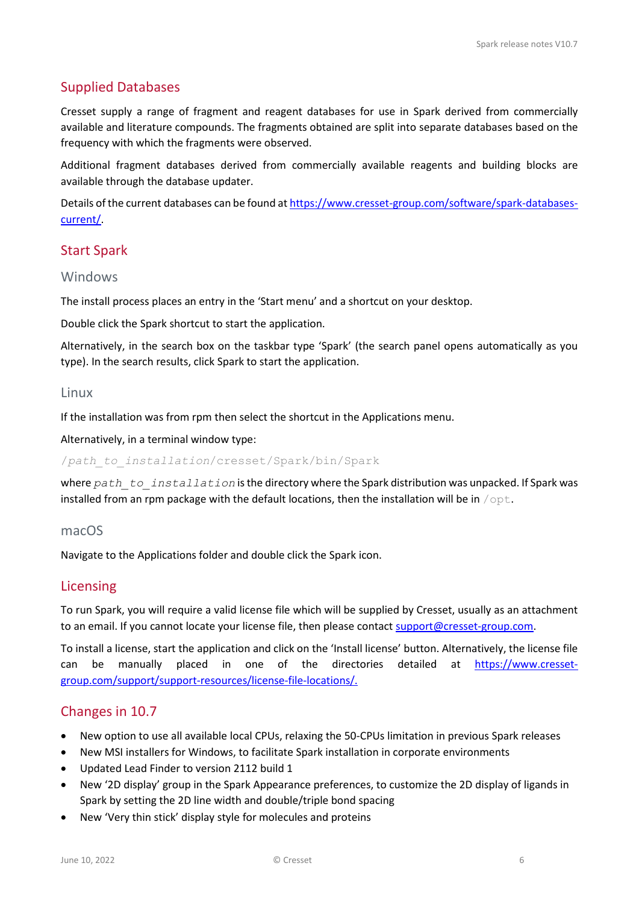# <span id="page-5-0"></span>Supplied Databases

Cresset supply a range of fragment and reagent databases for use in Spark derived from commercially available and literature compounds. The fragments obtained are split into separate databases based on the frequency with which the fragments were observed.

Additional fragment databases derived from commercially available reagents and building blocks are available through the database updater.

Details of the current databases can be found at [https://www.cresset-group.com/software/spark-databases](https://www.cresset-group.com/software/spark-databases-current/)[current/.](https://www.cresset-group.com/software/spark-databases-current/)

# <span id="page-5-1"></span>Start Spark

### <span id="page-5-2"></span>Windows

The install process places an entry in the 'Start menu' and a shortcut on your desktop.

Double click the Spark shortcut to start the application.

Alternatively, in the search box on the taskbar type 'Spark' (the search panel opens automatically as you type). In the search results, click Spark to start the application.

### <span id="page-5-3"></span>Linux

If the installation was from rpm then select the shortcut in the Applications menu.

Alternatively, in a terminal window type:

/*path\_to\_installation*/cresset/Spark/bin/Spark

where *path* to installation is the directory where the Spark distribution was unpacked. If Spark was installed from an rpm package with the default locations, then the installation will be in  $\sqrt{\text{opt}}$ .

### <span id="page-5-4"></span>macOS

Navigate to the Applications folder and double click the Spark icon.

### <span id="page-5-5"></span>Licensing

To run Spark, you will require a valid license file which will be supplied by Cresset, usually as an attachment to an email. If you cannot locate your license file, then please contact [support@cresset-group.com.](mailto:support@cresset-group.com?subject=License%20enquiry)

To install a license, start the application and click on the 'Install license' button. Alternatively, the license file can be manually placed in one of the directories detailed at [https://www.cresset](https://www.cresset-group.com/support/support-resources/license-file-locations/)[group.com/support/support-resources/license-file-locations/.](https://www.cresset-group.com/support/support-resources/license-file-locations/)

### <span id="page-5-6"></span>Changes in 10.7

- New option to use all available local CPUs, relaxing the 50-CPUs limitation in previous Spark releases
- New MSI installers for Windows, to facilitate Spark installation in corporate environments
- Updated Lead Finder to version 2112 build 1
- New '2D display' group in the Spark Appearance preferences, to customize the 2D display of ligands in Spark by setting the 2D line width and double/triple bond spacing
- New 'Very thin stick' display style for molecules and proteins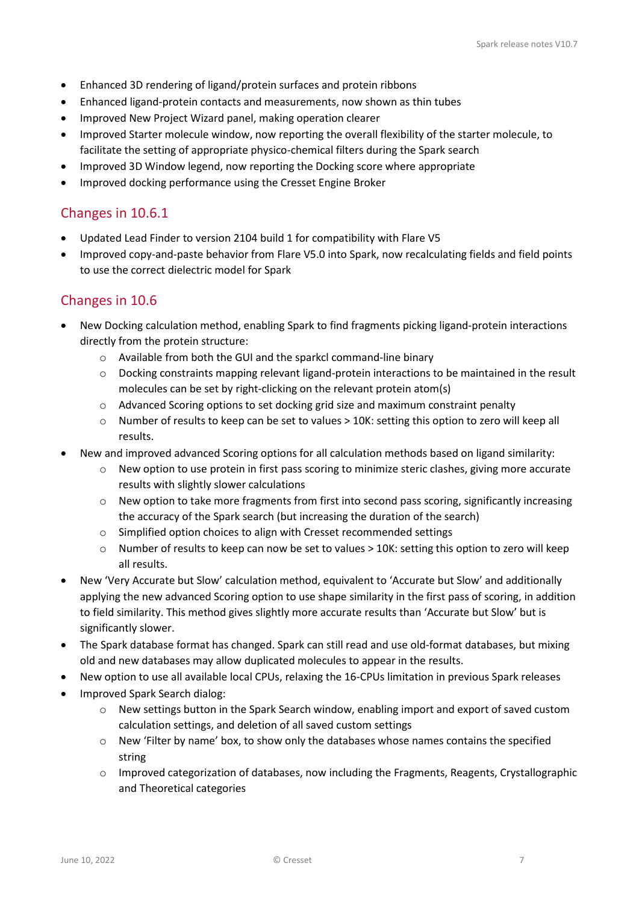- Enhanced 3D rendering of ligand/protein surfaces and protein ribbons
- Enhanced ligand-protein contacts and measurements, now shown as thin tubes
- Improved New Project Wizard panel, making operation clearer
- Improved Starter molecule window, now reporting the overall flexibility of the starter molecule, to facilitate the setting of appropriate physico-chemical filters during the Spark search
- Improved 3D Window legend, now reporting the Docking score where appropriate
- Improved docking performance using the Cresset Engine Broker

# <span id="page-6-0"></span>Changes in 10.6.1

- Updated Lead Finder to version 2104 build 1 for compatibility with Flare V5
- Improved copy-and-paste behavior from Flare V5.0 into Spark, now recalculating fields and field points to use the correct dielectric model for Spark

# <span id="page-6-1"></span>Changes in 10.6

- New Docking calculation method, enabling Spark to find fragments picking ligand-protein interactions directly from the protein structure:
	- o Available from both the GUI and the sparkcl command-line binary
	- $\circ$  Docking constraints mapping relevant ligand-protein interactions to be maintained in the result molecules can be set by right-clicking on the relevant protein atom(s)
	- o Advanced Scoring options to set docking grid size and maximum constraint penalty
	- o Number of results to keep can be set to values > 10K: setting this option to zero will keep all results.
- New and improved advanced Scoring options for all calculation methods based on ligand similarity:
	- $\circ$  New option to use protein in first pass scoring to minimize steric clashes, giving more accurate results with slightly slower calculations
	- o New option to take more fragments from first into second pass scoring, significantly increasing the accuracy of the Spark search (but increasing the duration of the search)
	- o Simplified option choices to align with Cresset recommended settings
	- o Number of results to keep can now be set to values > 10K: setting this option to zero will keep all results.
- New 'Very Accurate but Slow' calculation method, equivalent to 'Accurate but Slow' and additionally applying the new advanced Scoring option to use shape similarity in the first pass of scoring, in addition to field similarity. This method gives slightly more accurate results than 'Accurate but Slow' but is significantly slower.
- The Spark database format has changed. Spark can still read and use old-format databases, but mixing old and new databases may allow duplicated molecules to appear in the results.
- New option to use all available local CPUs, relaxing the 16-CPUs limitation in previous Spark releases
- Improved Spark Search dialog:
	- o New settings button in the Spark Search window, enabling import and export of saved custom calculation settings, and deletion of all saved custom settings
	- o New 'Filter by name' box, to show only the databases whose names contains the specified string
	- o Improved categorization of databases, now including the Fragments, Reagents, Crystallographic and Theoretical categories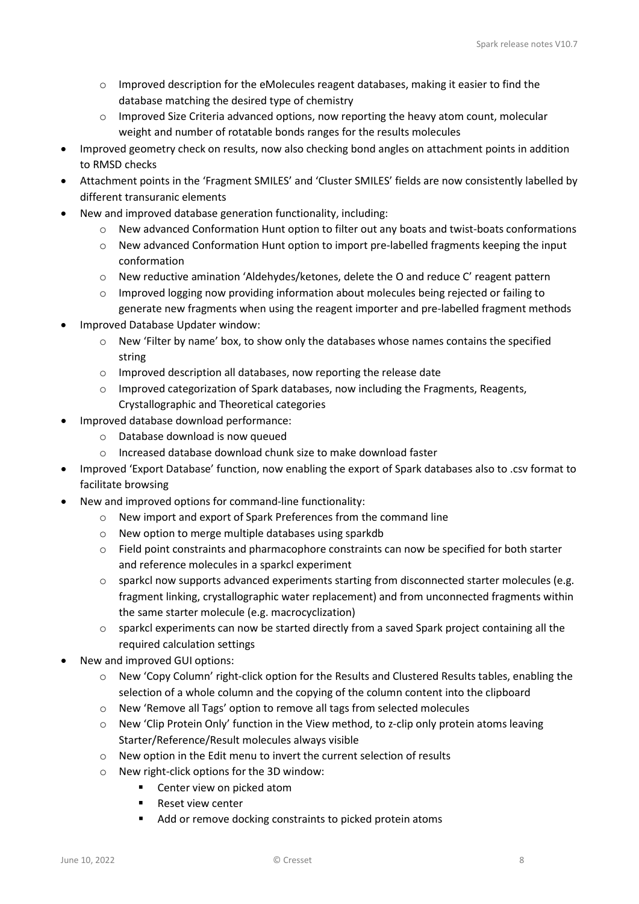- o Improved description for the eMolecules reagent databases, making it easier to find the database matching the desired type of chemistry
- o Improved Size Criteria advanced options, now reporting the heavy atom count, molecular weight and number of rotatable bonds ranges for the results molecules
- Improved geometry check on results, now also checking bond angles on attachment points in addition to RMSD checks
- Attachment points in the 'Fragment SMILES' and 'Cluster SMILES' fields are now consistently labelled by different transuranic elements
- New and improved database generation functionality, including:
	- $\circ$  New advanced Conformation Hunt option to filter out any boats and twist-boats conformations
	- o New advanced Conformation Hunt option to import pre-labelled fragments keeping the input conformation
	- $\circ$  New reductive amination 'Aldehydes/ketones, delete the O and reduce C' reagent pattern
	- $\circ$  Improved logging now providing information about molecules being rejected or failing to generate new fragments when using the reagent importer and pre-labelled fragment methods
- Improved Database Updater window:
	- o New 'Filter by name' box, to show only the databases whose names contains the specified string
	- o Improved description all databases, now reporting the release date
	- $\circ$  Improved categorization of Spark databases, now including the Fragments, Reagents, Crystallographic and Theoretical categories
- Improved database download performance:
	- o Database download is now queued
	- o Increased database download chunk size to make download faster
- Improved 'Export Database' function, now enabling the export of Spark databases also to .csv format to facilitate browsing
- New and improved options for command-line functionality:
	- o New import and export of Spark Preferences from the command line
	- o New option to merge multiple databases using sparkdb
	- $\circ$  Field point constraints and pharmacophore constraints can now be specified for both starter and reference molecules in a sparkcl experiment
	- $\circ$  sparkcl now supports advanced experiments starting from disconnected starter molecules (e.g. fragment linking, crystallographic water replacement) and from unconnected fragments within the same starter molecule (e.g. macrocyclization)
	- $\circ$  sparkcl experiments can now be started directly from a saved Spark project containing all the required calculation settings
- New and improved GUI options:
	- o New 'Copy Column' right-click option for the Results and Clustered Results tables, enabling the selection of a whole column and the copying of the column content into the clipboard
	- o New 'Remove all Tags' option to remove all tags from selected molecules
	- o New 'Clip Protein Only' function in the View method, to z-clip only protein atoms leaving Starter/Reference/Result molecules always visible
	- o New option in the Edit menu to invert the current selection of results
	- o New right-click options for the 3D window:
		- Center view on picked atom
			- **Reset view center**
			- Add or remove docking constraints to picked protein atoms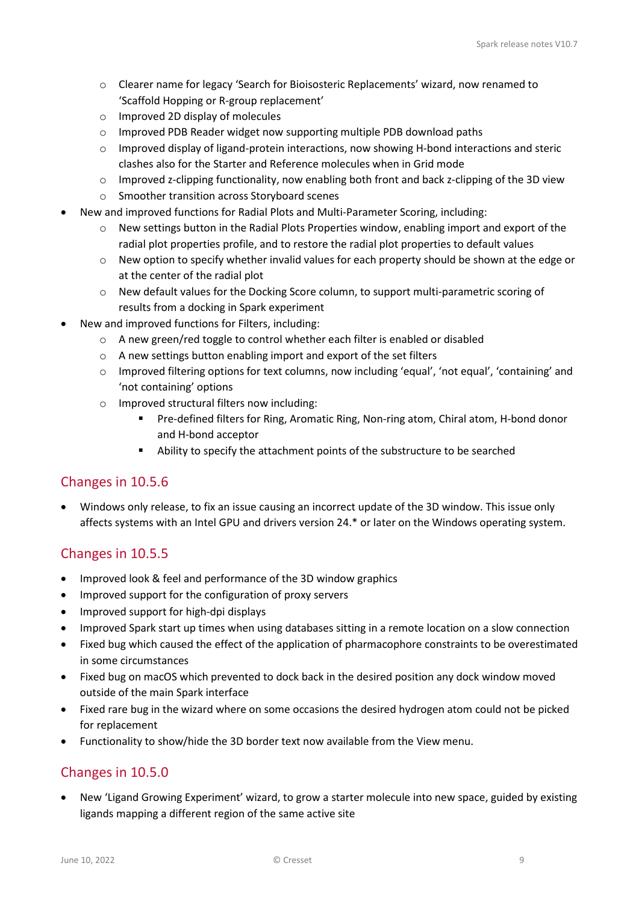- o Clearer name for legacy 'Search for Bioisosteric Replacements' wizard, now renamed to 'Scaffold Hopping or R-group replacement'
- o Improved 2D display of molecules
- o Improved PDB Reader widget now supporting multiple PDB download paths
- o Improved display of ligand-protein interactions, now showing H-bond interactions and steric clashes also for the Starter and Reference molecules when in Grid mode
- $\circ$  Improved z-clipping functionality, now enabling both front and back z-clipping of the 3D view
- o Smoother transition across Storyboard scenes
- New and improved functions for Radial Plots and Multi-Parameter Scoring, including:
	- o New settings button in the Radial Plots Properties window, enabling import and export of the radial plot properties profile, and to restore the radial plot properties to default values
	- o New option to specify whether invalid values for each property should be shown at the edge or at the center of the radial plot
	- $\circ$  New default values for the Docking Score column, to support multi-parametric scoring of results from a docking in Spark experiment
- New and improved functions for Filters, including:
	- o A new green/red toggle to control whether each filter is enabled or disabled
	- o A new settings button enabling import and export of the set filters
	- o Improved filtering options for text columns, now including 'equal', 'not equal', 'containing' and 'not containing' options
	- o Improved structural filters now including:
		- Pre-defined filters for Ring, Aromatic Ring, Non-ring atom, Chiral atom, H-bond donor and H-bond acceptor
		- Ability to specify the attachment points of the substructure to be searched

# <span id="page-8-0"></span>Changes in 10.5.6

• Windows only release, to fix an issue causing an incorrect update of the 3D window. This issue only affects systems with an Intel GPU and drivers version 24.\* or later on the Windows operating system.

# <span id="page-8-1"></span>Changes in 10.5.5

- Improved look & feel and performance of the 3D window graphics
- Improved support for the configuration of proxy servers
- Improved support for high-dpi displays
- Improved Spark start up times when using databases sitting in a remote location on a slow connection
- Fixed bug which caused the effect of the application of pharmacophore constraints to be overestimated in some circumstances
- Fixed bug on macOS which prevented to dock back in the desired position any dock window moved outside of the main Spark interface
- Fixed rare bug in the wizard where on some occasions the desired hydrogen atom could not be picked for replacement
- Functionality to show/hide the 3D border text now available from the View menu.

# <span id="page-8-2"></span>Changes in 10.5.0

• New 'Ligand Growing Experiment' wizard, to grow a starter molecule into new space, guided by existing ligands mapping a different region of the same active site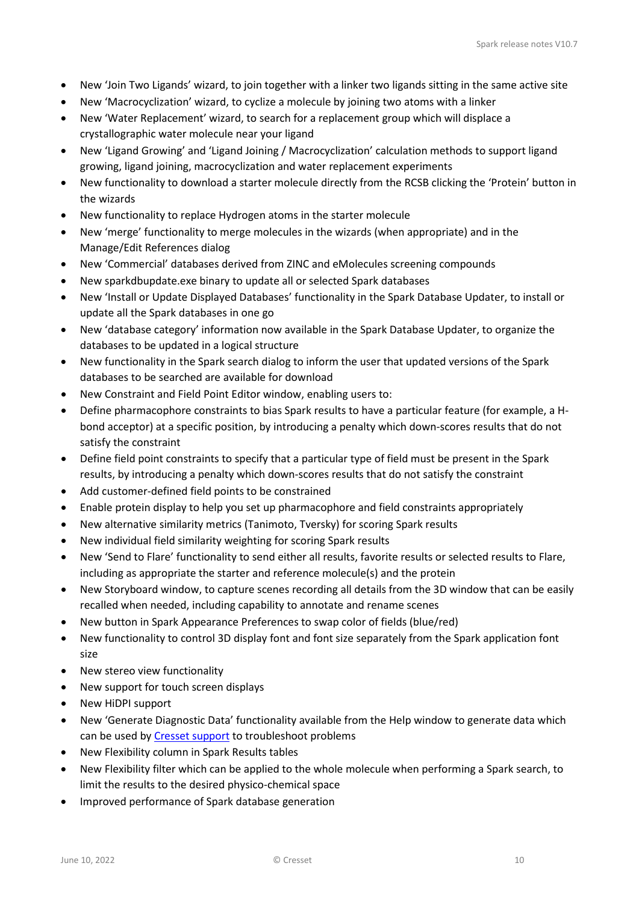- New 'Join Two Ligands' wizard, to join together with a linker two ligands sitting in the same active site
- New 'Macrocyclization' wizard, to cyclize a molecule by joining two atoms with a linker
- New 'Water Replacement' wizard, to search for a replacement group which will displace a crystallographic water molecule near your ligand
- New 'Ligand Growing' and 'Ligand Joining / Macrocyclization' calculation methods to support ligand growing, ligand joining, macrocyclization and water replacement experiments
- New functionality to download a starter molecule directly from the RCSB clicking the 'Protein' button in the wizards
- New functionality to replace Hydrogen atoms in the starter molecule
- New 'merge' functionality to merge molecules in the wizards (when appropriate) and in the Manage/Edit References dialog
- New 'Commercial' databases derived from ZINC and eMolecules screening compounds
- New sparkdbupdate.exe binary to update all or selected Spark databases
- New 'Install or Update Displayed Databases' functionality in the Spark Database Updater, to install or update all the Spark databases in one go
- New 'database category' information now available in the Spark Database Updater, to organize the databases to be updated in a logical structure
- New functionality in the Spark search dialog to inform the user that updated versions of the Spark databases to be searched are available for download
- New Constraint and Field Point Editor window, enabling users to:
- Define pharmacophore constraints to bias Spark results to have a particular feature (for example, a Hbond acceptor) at a specific position, by introducing a penalty which down-scores results that do not satisfy the constraint
- Define field point constraints to specify that a particular type of field must be present in the Spark results, by introducing a penalty which down-scores results that do not satisfy the constraint
- Add customer-defined field points to be constrained
- Enable protein display to help you set up pharmacophore and field constraints appropriately
- New alternative similarity metrics (Tanimoto, Tversky) for scoring Spark results
- New individual field similarity weighting for scoring Spark results
- New 'Send to Flare' functionality to send either all results, favorite results or selected results to Flare, including as appropriate the starter and reference molecule(s) and the protein
- New Storyboard window, to capture scenes recording all details from the 3D window that can be easily recalled when needed, including capability to annotate and rename scenes
- New button in Spark Appearance Preferences to swap color of fields (blue/red)
- New functionality to control 3D display font and font size separately from the Spark application font size
- New stereo view functionality
- New support for touch screen displays
- New HiDPI support
- New 'Generate Diagnostic Data' functionality available from the Help window to generate data which can be used b[y Cresset support](mailto:support@cresset-group.com) to troubleshoot problems
- New Flexibility column in Spark Results tables
- New Flexibility filter which can be applied to the whole molecule when performing a Spark search, to limit the results to the desired physico-chemical space
- Improved performance of Spark database generation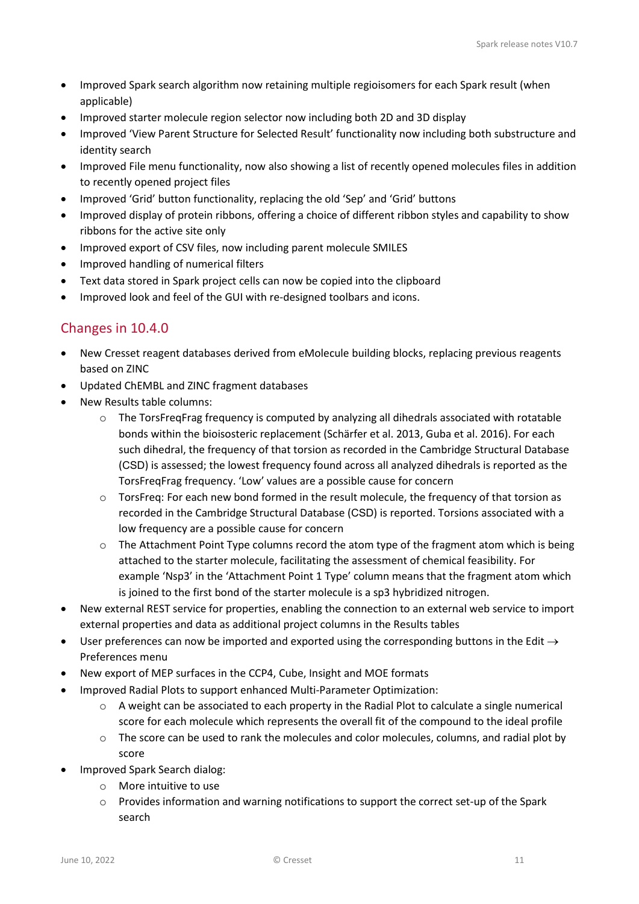- Improved Spark search algorithm now retaining multiple regioisomers for each Spark result (when applicable)
- Improved starter molecule region selector now including both 2D and 3D display
- Improved 'View Parent Structure for Selected Result' functionality now including both substructure and identity search
- Improved File menu functionality, now also showing a list of recently opened molecules files in addition to recently opened project files
- Improved 'Grid' button functionality, replacing the old 'Sep' and 'Grid' buttons
- Improved display of protein ribbons, offering a choice of different ribbon styles and capability to show ribbons for the active site only
- Improved export of CSV files, now including parent molecule SMILES
- Improved handling of numerical filters
- Text data stored in Spark project cells can now be copied into the clipboard
- Improved look and feel of the GUI with re-designed toolbars and icons.

# <span id="page-10-0"></span>Changes in 10.4.0

- New Cresset reagent databases derived from eMolecule building blocks, replacing previous reagents based on ZINC
- Updated ChEMBL and ZINC fragment databases
- New Results table columns:
	- $\circ$  The TorsFreqFrag frequency is computed by analyzing all dihedrals associated with rotatable bonds within the bioisosteric replacement (Schärfer et al. 2013, Guba et al. 2016). For each such dihedral, the frequency of that torsion as recorded in the Cambridge Structural Database ([CSD](http://www.ccdc.cam.ac.uk/)) is assessed; the lowest frequency found across all analyzed dihedrals is reported as the TorsFreqFrag frequency. 'Low' values are a possible cause for concern
	- o TorsFreq: For each new bond formed in the result molecule, the frequency of that torsion as recorded in the Cambridge Structural Database ([CSD](http://www.ccdc.cam.ac.uk/)) is reported. Torsions associated with a low frequency are a possible cause for concern
	- $\circ$  The Attachment Point Type columns record the atom type of the fragment atom which is being attached to the starter molecule, facilitating the assessment of chemical feasibility. For example 'Nsp3' in the 'Attachment Point 1 Type' column means that the fragment atom which is joined to the first bond of the starter molecule is a sp3 hybridized nitrogen.
- New external REST service for properties, enabling the connection to an external web service to import external properties and data as additional project columns in the Results tables
- User preferences can now be imported and exported using the corresponding buttons in the Edit  $\rightarrow$ Preferences menu
- New export of MEP surfaces in the CCP4, Cube, Insight and MOE formats
- Improved Radial Plots to support enhanced Multi-Parameter Optimization:
	- o A weight can be associated to each property in the Radial Plot to calculate a single numerical score for each molecule which represents the overall fit of the compound to the ideal profile
	- $\circ$  The score can be used to rank the molecules and color molecules, columns, and radial plot by score
- Improved Spark Search dialog:
	- o More intuitive to use
	- o Provides information and warning notifications to support the correct set-up of the Spark search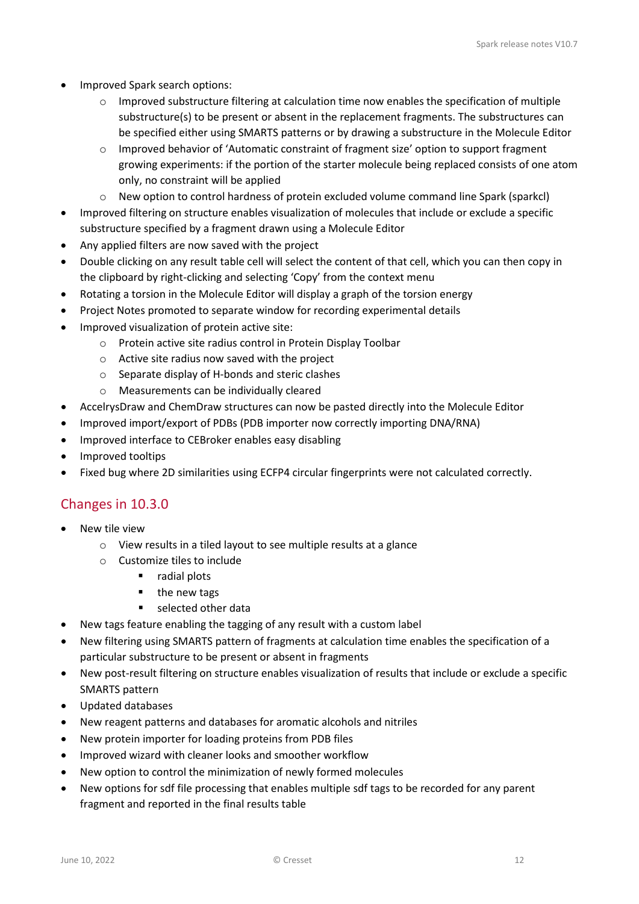- Improved Spark search options:
	- o Improved substructure filtering at calculation time now enables the specification of multiple substructure(s) to be present or absent in the replacement fragments. The substructures can be specified either using SMARTS patterns or by drawing a substructure in the Molecule Editor
	- o Improved behavior of 'Automatic constraint of fragment size' option to support fragment growing experiments: if the portion of the starter molecule being replaced consists of one atom only, no constraint will be applied
	- o New option to control hardness of protein excluded volume command line Spark (sparkcl)
- Improved filtering on structure enables visualization of molecules that include or exclude a specific substructure specified by a fragment drawn using a Molecule Editor
- Any applied filters are now saved with the project
- Double clicking on any result table cell will select the content of that cell, which you can then copy in the clipboard by right-clicking and selecting 'Copy' from the context menu
- Rotating a torsion in the Molecule Editor will display a graph of the torsion energy
- Project Notes promoted to separate window for recording experimental details
- Improved visualization of protein active site:
	- o Protein active site radius control in Protein Display Toolbar
	- o Active site radius now saved with the project
	- o Separate display of H-bonds and steric clashes
	- o Measurements can be individually cleared
- AccelrysDraw and ChemDraw structures can now be pasted directly into the Molecule Editor
- Improved import/export of PDBs (PDB importer now correctly importing DNA/RNA)
- Improved interface to CEBroker enables easy disabling
- Improved tooltips
- Fixed bug where 2D similarities using ECFP4 circular fingerprints were not calculated correctly.

### <span id="page-11-0"></span>Changes in 10.3.0

- New tile view
	- o View results in a tiled layout to see multiple results at a glance
	- o Customize tiles to include
		- **radial plots**
		- $\blacksquare$  the new tags
		- selected other data
- New tags feature enabling the tagging of any result with a custom label
- New filtering using SMARTS pattern of fragments at calculation time enables the specification of a particular substructure to be present or absent in fragments
- New post-result filtering on structure enables visualization of results that include or exclude a specific SMARTS pattern
- Updated databases
- New reagent patterns and databases for aromatic alcohols and nitriles
- New protein importer for loading proteins from PDB files
- Improved wizard with cleaner looks and smoother workflow
- New option to control the minimization of newly formed molecules
- New options for sdf file processing that enables multiple sdf tags to be recorded for any parent fragment and reported in the final results table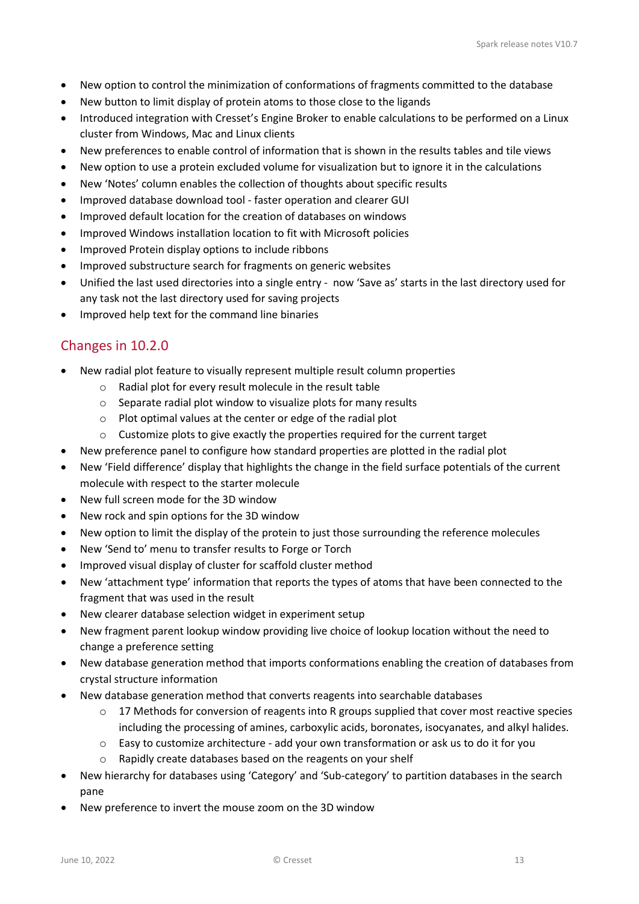- New option to control the minimization of conformations of fragments committed to the database
- New button to limit display of protein atoms to those close to the ligands
- Introduced integration with Cresset's Engine Broker to enable calculations to be performed on a Linux cluster from Windows, Mac and Linux clients
- New preferences to enable control of information that is shown in the results tables and tile views
- New option to use a protein excluded volume for visualization but to ignore it in the calculations
- New 'Notes' column enables the collection of thoughts about specific results
- Improved database download tool faster operation and clearer GUI
- Improved default location for the creation of databases on windows
- Improved Windows installation location to fit with Microsoft policies
- Improved Protein display options to include ribbons
- Improved substructure search for fragments on generic websites
- Unified the last used directories into a single entry now 'Save as' starts in the last directory used for any task not the last directory used for saving projects
- Improved help text for the command line binaries

# <span id="page-12-0"></span>Changes in 10.2.0

- New radial plot feature to visually represent multiple result column properties
	- o Radial plot for every result molecule in the result table
	- o Separate radial plot window to visualize plots for many results
	- o Plot optimal values at the center or edge of the radial plot
	- o Customize plots to give exactly the properties required for the current target
- New preference panel to configure how standard properties are plotted in the radial plot
- New 'Field difference' display that highlights the change in the field surface potentials of the current molecule with respect to the starter molecule
- New full screen mode for the 3D window
- New rock and spin options for the 3D window
- New option to limit the display of the protein to just those surrounding the reference molecules
- New 'Send to' menu to transfer results to Forge or Torch
- Improved visual display of cluster for scaffold cluster method
- New 'attachment type' information that reports the types of atoms that have been connected to the fragment that was used in the result
- New clearer database selection widget in experiment setup
- New fragment parent lookup window providing live choice of lookup location without the need to change a preference setting
- New database generation method that imports conformations enabling the creation of databases from crystal structure information
- New database generation method that converts reagents into searchable databases
	- $\circ$  17 Methods for conversion of reagents into R groups supplied that cover most reactive species including the processing of amines, carboxylic acids, boronates, isocyanates, and alkyl halides.
	- $\circ$  Easy to customize architecture add your own transformation or ask us to do it for you
	- o Rapidly create databases based on the reagents on your shelf
- New hierarchy for databases using 'Category' and 'Sub-category' to partition databases in the search pane
- New preference to invert the mouse zoom on the 3D window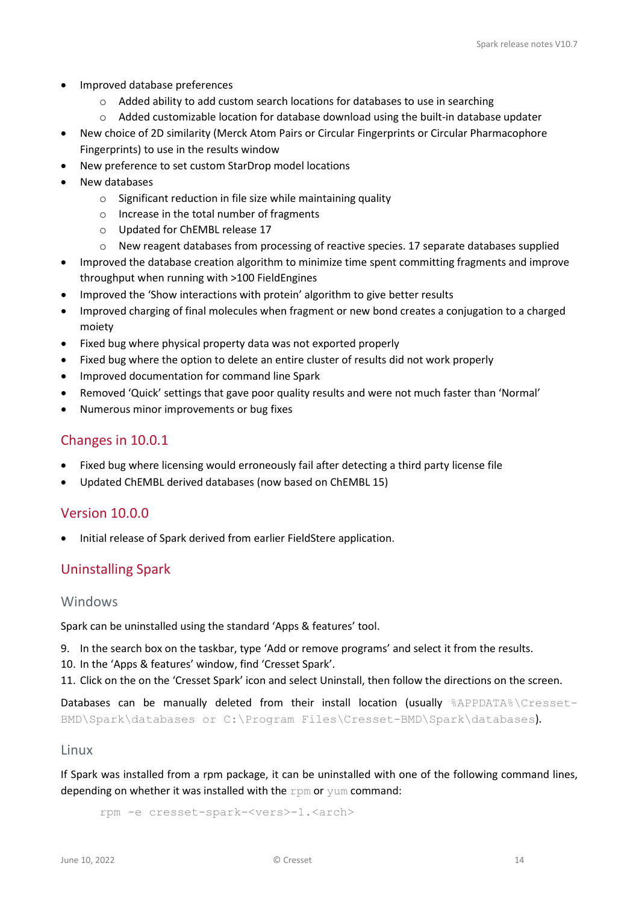- Improved database preferences
	- o Added ability to add custom search locations for databases to use in searching
	- $\circ$  Added customizable location for database download using the built-in database updater
- New choice of 2D similarity (Merck Atom Pairs or Circular Fingerprints or Circular Pharmacophore Fingerprints) to use in the results window
- New preference to set custom StarDrop model locations
- New databases
	- o Significant reduction in file size while maintaining quality
	- o Increase in the total number of fragments
	- o Updated for ChEMBL release 17
	- o New reagent databases from processing of reactive species. 17 separate databases supplied
- Improved the database creation algorithm to minimize time spent committing fragments and improve throughput when running with >100 FieldEngines
- Improved the 'Show interactions with protein' algorithm to give better results
- Improved charging of final molecules when fragment or new bond creates a conjugation to a charged moiety
- Fixed bug where physical property data was not exported properly
- Fixed bug where the option to delete an entire cluster of results did not work properly
- Improved documentation for command line Spark
- Removed 'Quick' settings that gave poor quality results and were not much faster than 'Normal'
- Numerous minor improvements or bug fixes

### <span id="page-13-0"></span>Changes in 10.0.1

- Fixed bug where licensing would erroneously fail after detecting a third party license file
- Updated ChEMBL derived databases (now based on ChEMBL 15)

### <span id="page-13-1"></span>Version 10.0.0

• Initial release of Spark derived from earlier FieldStere application.

# <span id="page-13-2"></span>Uninstalling Spark

### <span id="page-13-3"></span>Windows

Spark can be uninstalled using the standard 'Apps & features' tool.

- 9. In the search box on the taskbar, type 'Add or remove programs' and select it from the results.
- 10. In the 'Apps & features' window, find 'Cresset Spark'.
- 11. Click on the on the 'Cresset Spark' icon and select Uninstall, then follow the directions on the screen.

Databases can be manually deleted from their install location (usually %APPDATA%\Cresset-BMD\Spark\databases or C:\Program Files\Cresset-BMD\Spark\databases).

#### <span id="page-13-4"></span>Linux

If Spark was installed from a rpm package, it can be uninstalled with one of the following command lines, depending on whether it was installed with the  $r$ pm or yum command:

rpm -e cresset-spark-<vers>-1.<arch>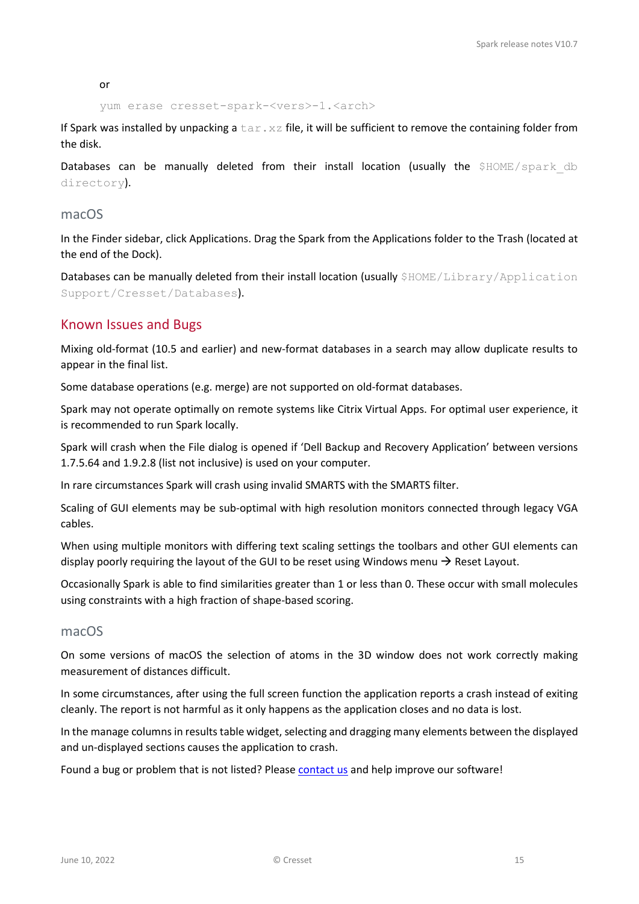or

yum erase cresset-spark-<vers>-1.<arch>

If Spark was installed by unpacking a  $\text{tar} \cdot \text{xz}$  file, it will be sufficient to remove the containing folder from the disk.

Databases can be manually deleted from their install location (usually the \$HOME/spark db directory).

### <span id="page-14-0"></span>macOS

In the Finder sidebar, click Applications. Drag the Spark from the Applications folder to the Trash (located at the end of the Dock).

Databases can be manually deleted from their install location (usually \$HOME/Library/Application Support/Cresset/Databases).

### <span id="page-14-1"></span>Known Issues and Bugs

Mixing old-format (10.5 and earlier) and new-format databases in a search may allow duplicate results to appear in the final list.

Some database operations (e.g. merge) are not supported on old-format databases.

Spark may not operate optimally on remote systems like Citrix Virtual Apps. For optimal user experience, it is recommended to run Spark locally.

Spark will crash when the File dialog is opened if 'Dell Backup and Recovery Application' between versions 1.7.5.64 and 1.9.2.8 (list not inclusive) is used on your computer.

In rare circumstances Spark will crash using invalid SMARTS with the SMARTS filter.

Scaling of GUI elements may be sub-optimal with high resolution monitors connected through legacy VGA cables.

When using multiple monitors with differing text scaling settings the toolbars and other GUI elements can display poorly requiring the layout of the GUI to be reset using Windows menu  $\rightarrow$  Reset Layout.

Occasionally Spark is able to find similarities greater than 1 or less than 0. These occur with small molecules using constraints with a high fraction of shape-based scoring.

### <span id="page-14-2"></span>macOS

On some versions of macOS the selection of atoms in the 3D window does not work correctly making measurement of distances difficult.

In some circumstances, after using the full screen function the application reports a crash instead of exiting cleanly. The report is not harmful as it only happens as the application closes and no data is lost.

In the manage columns in results table widget, selecting and dragging many elements between the displayed and un-displayed sections causes the application to crash.

Found a bug or problem that is not listed? Please [contact us](mailto:support@cresset-group.com?subject=Flare%20bug) and help improve our software!